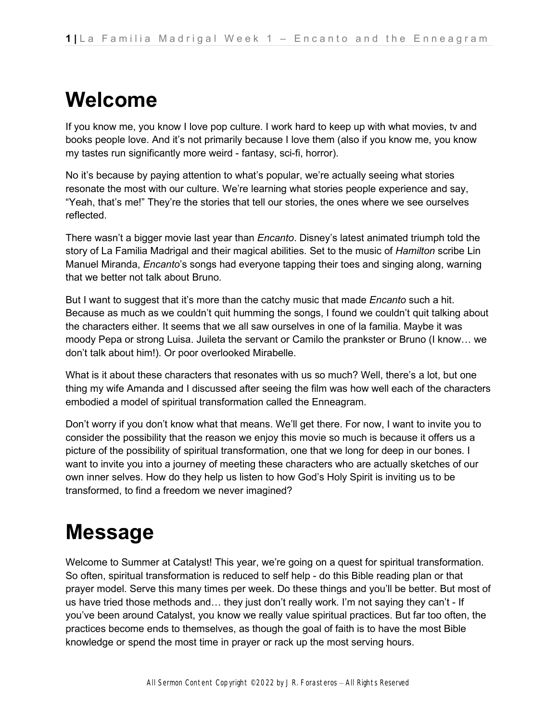## **Welcome**

If you know me, you know I love pop culture. I work hard to keep up with what movies, tv and books people love. And it's not primarily because I love them (also if you know me, you know my tastes run significantly more weird - fantasy, sci-fi, horror).

No it's because by paying attention to what's popular, we're actually seeing what stories resonate the most with our culture. We're learning what stories people experience and say, "Yeah, that's me!" They're the stories that tell our stories, the ones where we see ourselves reflected.

There wasn't a bigger movie last year than *Encanto*. Disney's latest animated triumph told the story of La Familia Madrigal and their magical abilities. Set to the music of *Hamilton* scribe Lin Manuel Miranda, *Encanto*'s songs had everyone tapping their toes and singing along, warning that we better not talk about Bruno.

But I want to suggest that it's more than the catchy music that made *Encanto* such a hit. Because as much as we couldn't quit humming the songs, I found we couldn't quit talking about the characters either. It seems that we all saw ourselves in one of la familia. Maybe it was moody Pepa or strong Luisa. Juileta the servant or Camilo the prankster or Bruno (I know… we don't talk about him!). Or poor overlooked Mirabelle.

What is it about these characters that resonates with us so much? Well, there's a lot, but one thing my wife Amanda and I discussed after seeing the film was how well each of the characters embodied a model of spiritual transformation called the Enneagram.

Don't worry if you don't know what that means. We'll get there. For now, I want to invite you to consider the possibility that the reason we enjoy this movie so much is because it offers us a picture of the possibility of spiritual transformation, one that we long for deep in our bones. I want to invite you into a journey of meeting these characters who are actually sketches of our own inner selves. How do they help us listen to how God's Holy Spirit is inviting us to be transformed, to find a freedom we never imagined?

## **Message**

Welcome to Summer at Catalyst! This year, we're going on a quest for spiritual transformation. So often, spiritual transformation is reduced to self help - do this Bible reading plan or that prayer model. Serve this many times per week. Do these things and you'll be better. But most of us have tried those methods and… they just don't really work. I'm not saying they can't - If you've been around Catalyst, you know we really value spiritual practices. But far too often, the practices become ends to themselves, as though the goal of faith is to have the most Bible knowledge or spend the most time in prayer or rack up the most serving hours.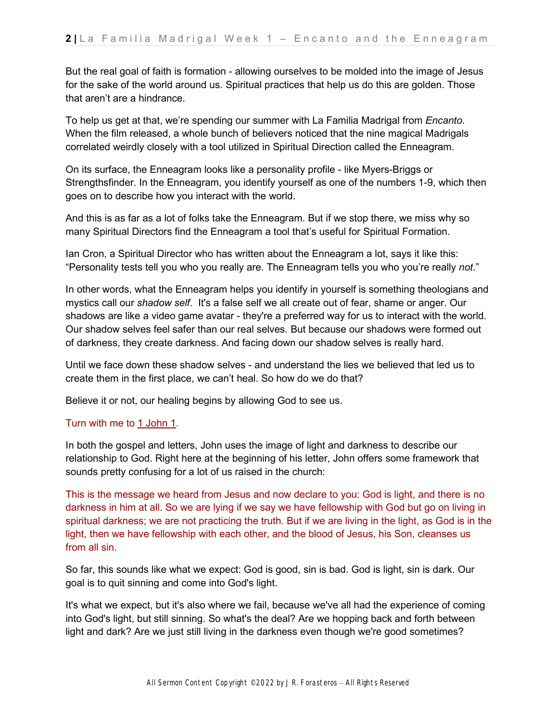But the real goal of faith is formation - allowing ourselves to be molded into the image of Jesus for the sake of the world around us. Spiritual practices that help us do this are golden. Those that aren't are a hindrance.

To help us get at that, we're spending our summer with La Familia Madrigal from *Encanto*. When the film released, a whole bunch of believers noticed that the nine magical Madrigals correlated weirdly closely with a tool utilized in Spiritual Direction called the Enneagram.

On its surface, the Enneagram looks like a personality profile - like Myers-Briggs or Strengthsfinder. In the Enneagram, you identify yourself as one of the numbers 1-9, which then goes on to describe how you interact with the world.

And this is as far as a lot of folks take the Enneagram. But if we stop there, we miss why so many Spiritual Directors find the Enneagram a tool that's useful for Spiritual Formation.

Ian Cron, a Spiritual Director who has written about the Enneagram a lot, says it like this: "Personality tests tell you who you really are. The Enneagram tells you who you're really *not*."

In other words, what the Enneagram helps you identify in yourself is something theologians and mystics call our *shadow self*. It's a false self we all create out of fear, shame or anger. Our shadows are like a video game avatar - they're a preferred way for us to interact with the world. Our shadow selves feel safer than our real selves. But because our shadows were formed out of darkness, they create darkness. And facing down our shadow selves is really hard.

Until we face down these shadow selves - and understand the lies we believed that led us to create them in the first place, we can't heal. So how do we do that?

Believe it or not, our healing begins by allowing God to see us.

#### Turn with me to [1 John 1.](https://ref.ly/logosref/bible$2Bnlt.83.1)

In both the gospel and letters, John uses the image of light and darkness to describe our relationship to God. Right here at the beginning of his letter, John offers some framework that sounds pretty confusing for a lot of us raised in the church:

This is the message we heard from Jesus and now declare to you: God is light, and there is no darkness in him at all. So we are lying if we say we have fellowship with God but go on living in spiritual darkness; we are not practicing the truth. But if we are living in the light, as God is in the light, then we have fellowship with each other, and the blood of Jesus, his Son, cleanses us from all sin.

So far, this sounds like what we expect: God is good, sin is bad. God is light, sin is dark. Our goal is to quit sinning and come into God's light.

It's what we expect, but it's also where we fail, because we've all had the experience of coming into God's light, but still sinning. So what's the deal? Are we hopping back and forth between light and dark? Are we just still living in the darkness even though we're good sometimes?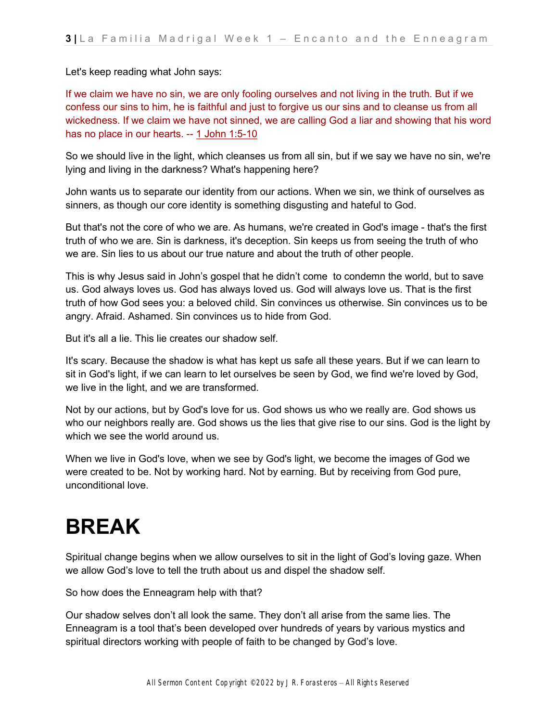Let's keep reading what John says:

If we claim we have no sin, we are only fooling ourselves and not living in the truth. But if we confess our sins to him, he is faithful and just to forgive us our sins and to cleanse us from all wickedness. If we claim we have not sinned, we are calling God a liar and showing that his word has no place in our hearts. -[-](https://ref.ly/logosref/bible$2Bnlt.83.1.5-83.1.10) [1 John 1:5-10](https://ref.ly/logosref/bible$2Bnlt.83.1.5-83.1.10)

So we should live in the light, which cleanses us from all sin, but if we say we have no sin, we're lying and living in the darkness? What's happening here?

John wants us to separate our identity from our actions. When we sin, we think of ourselves as sinners, as though our core identity is something disgusting and hateful to God.

But that's not the core of who we are. As humans, we're created in God's image - that's the first truth of who we are. Sin is darkness, it's deception. Sin keeps us from seeing the truth of who we are. Sin lies to us about our true nature and about the truth of other people.

This is why Jesus said in John's gospel that he didn't come to condemn the world, but to save us. God always loves us. God has always loved us. God will always love us. That is the first truth of how God sees you: a beloved child. Sin convinces us otherwise. Sin convinces us to be angry. Afraid. Ashamed. Sin convinces us to hide from God.

But it's all a lie. This lie creates our shadow self.

It's scary. Because the shadow is what has kept us safe all these years. But if we can learn to sit in God's light, if we can learn to let ourselves be seen by God, we find we're loved by God, we live in the light, and we are transformed.

Not by our actions, but by God's love for us. God shows us who we really are. God shows us who our neighbors really are. God shows us the lies that give rise to our sins. God is the light by which we see the world around us.

When we live in God's love, when we see by God's light, we become the images of God we were created to be. Not by working hard. Not by earning. But by receiving from God pure, unconditional love.

# **BREAK**

Spiritual change begins when we allow ourselves to sit in the light of God's loving gaze. When we allow God's love to tell the truth about us and dispel the shadow self.

So how does the Enneagram help with that?

Our shadow selves don't all look the same. They don't all arise from the same lies. The Enneagram is a tool that's been developed over hundreds of years by various mystics and spiritual directors working with people of faith to be changed by God's love.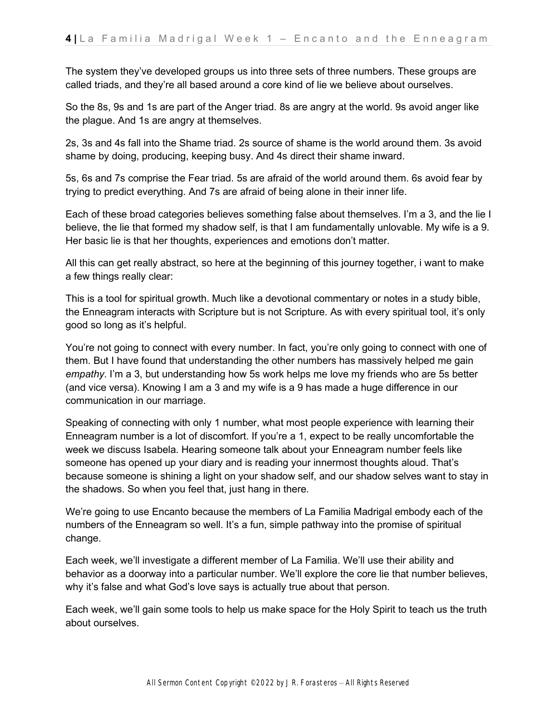The system they've developed groups us into three sets of three numbers. These groups are called triads, and they're all based around a core kind of lie we believe about ourselves.

So the 8s, 9s and 1s are part of the Anger triad. 8s are angry at the world. 9s avoid anger like the plague. And 1s are angry at themselves.

2s, 3s and 4s fall into the Shame triad. 2s source of shame is the world around them. 3s avoid shame by doing, producing, keeping busy. And 4s direct their shame inward.

5s, 6s and 7s comprise the Fear triad. 5s are afraid of the world around them. 6s avoid fear by trying to predict everything. And 7s are afraid of being alone in their inner life.

Each of these broad categories believes something false about themselves. I'm a 3, and the lie I believe, the lie that formed my shadow self, is that I am fundamentally unlovable. My wife is a 9. Her basic lie is that her thoughts, experiences and emotions don't matter.

All this can get really abstract, so here at the beginning of this journey together, i want to make a few things really clear:

This is a tool for spiritual growth. Much like a devotional commentary or notes in a study bible, the Enneagram interacts with Scripture but is not Scripture. As with every spiritual tool, it's only good so long as it's helpful.

You're not going to connect with every number. In fact, you're only going to connect with one of them. But I have found that understanding the other numbers has massively helped me gain *empathy*. I'm a 3, but understanding how 5s work helps me love my friends who are 5s better (and vice versa). Knowing I am a 3 and my wife is a 9 has made a huge difference in our communication in our marriage.

Speaking of connecting with only 1 number, what most people experience with learning their Enneagram number is a lot of discomfort. If you're a 1, expect to be really uncomfortable the week we discuss Isabela. Hearing someone talk about your Enneagram number feels like someone has opened up your diary and is reading your innermost thoughts aloud. That's because someone is shining a light on your shadow self, and our shadow selves want to stay in the shadows. So when you feel that, just hang in there.

We're going to use Encanto because the members of La Familia Madrigal embody each of the numbers of the Enneagram so well. It's a fun, simple pathway into the promise of spiritual change.

Each week, we'll investigate a different member of La Familia. We'll use their ability and behavior as a doorway into a particular number. We'll explore the core lie that number believes, why it's false and what God's love says is actually true about that person.

Each week, we'll gain some tools to help us make space for the Holy Spirit to teach us the truth about ourselves.